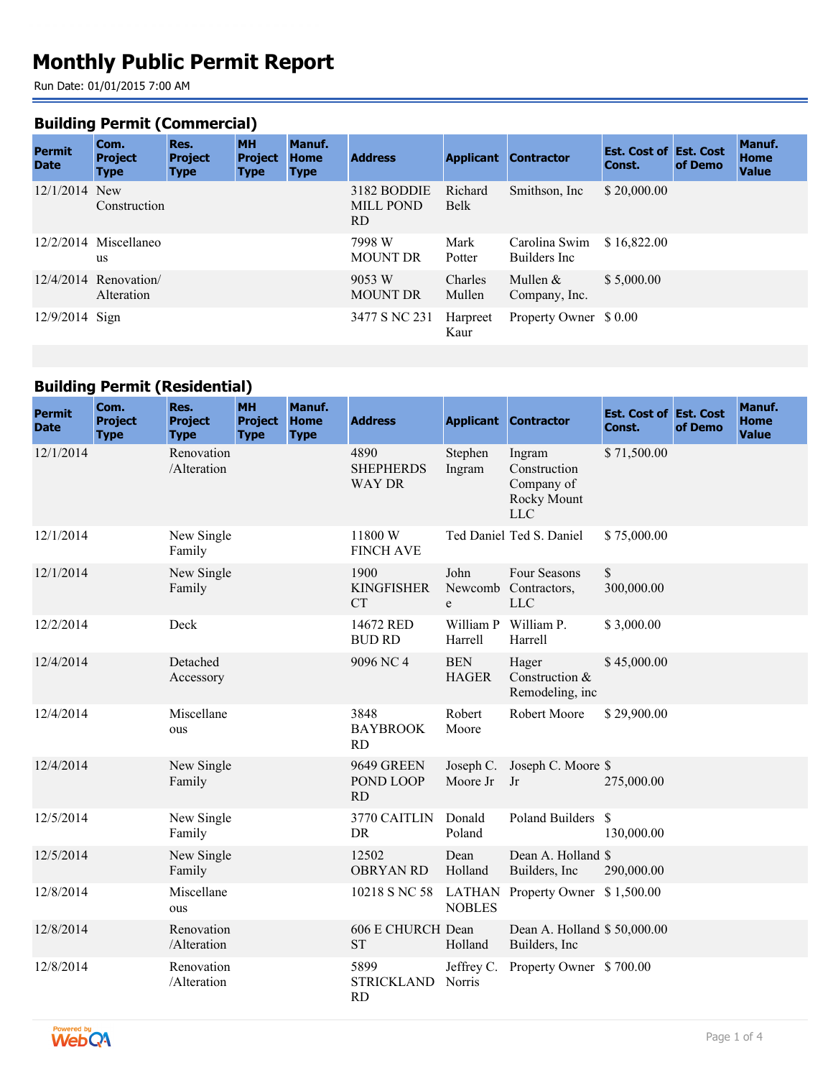# **Monthly Public Permit Report**

Run Date: 01/01/2015 7:00 AM

#### **Building Permit (Commercial)**

| <b>Permit</b><br><b>Date</b> | Com.<br><b>Project</b><br><b>Type</b> | Res.<br><b>Project</b><br><b>Type</b> | <b>MH</b><br><b>Project</b><br><b>Type</b> | Manuf.<br><b>Home</b><br><b>Type</b> | <b>Address</b>                         |                   | <b>Applicant Contractor</b>    | <b>Est. Cost of Est. Cost</b><br>Const. | of Demo | Manuf.<br>Home<br><b>Value</b> |
|------------------------------|---------------------------------------|---------------------------------------|--------------------------------------------|--------------------------------------|----------------------------------------|-------------------|--------------------------------|-----------------------------------------|---------|--------------------------------|
| $12/1/2014$ New              | Construction                          |                                       |                                            |                                      | 3182 BODDIE<br><b>MILL POND</b><br>RD. | Richard<br>Belk   | Smithson, Inc.                 | \$20,000.00                             |         |                                |
|                              | $12/2/2014$ Miscellaneo<br>us         |                                       |                                            |                                      | 7998 W<br><b>MOUNT DR</b>              | Mark<br>Potter    | Carolina Swim<br>Builders Inc. | \$16,822.00                             |         |                                |
|                              | $12/4/2014$ Renovation<br>Alteration  |                                       |                                            |                                      | 9053 W<br><b>MOUNT DR</b>              | Charles<br>Mullen | Mullen $&$<br>Company, Inc.    | \$5,000.00                              |         |                                |
| $12/9/2014$ Sign             |                                       |                                       |                                            |                                      | 3477 S NC 231                          | Harpreet<br>Kaur  | Property Owner \$ 0.00         |                                         |         |                                |

### **Building Permit (Residential)**

| <b>Permit</b><br><b>Date</b> | Com.<br><b>Project</b><br><b>Type</b> | Res.<br><b>Project</b><br><b>Type</b> | <b>MH</b><br><b>Project</b><br><b>Type</b> | Manuf.<br><b>Home</b><br><b>Type</b> | <b>Address</b>                            |                                | <b>Applicant Contractor</b>                                       | <b>Est. Cost of Est. Cost</b><br>Const. | of Demo | Manuf.<br><b>Home</b><br><b>Value</b> |
|------------------------------|---------------------------------------|---------------------------------------|--------------------------------------------|--------------------------------------|-------------------------------------------|--------------------------------|-------------------------------------------------------------------|-----------------------------------------|---------|---------------------------------------|
| 12/1/2014                    |                                       | Renovation<br>/Alteration             |                                            |                                      | 4890<br><b>SHEPHERDS</b><br><b>WAY DR</b> | Stephen<br>Ingram              | Ingram<br>Construction<br>Company of<br>Rocky Mount<br><b>LLC</b> | \$71,500.00                             |         |                                       |
| 12/1/2014                    |                                       | New Single<br>Family                  |                                            |                                      | 11800W<br><b>FINCH AVE</b>                |                                | Ted Daniel Ted S. Daniel                                          | \$75,000.00                             |         |                                       |
| 12/1/2014                    |                                       | New Single<br>Family                  |                                            |                                      | 1900<br><b>KINGFISHER</b><br><b>CT</b>    | John<br>e                      | Four Seasons<br>Newcomb Contractors,<br><b>LLC</b>                | \$<br>300,000.00                        |         |                                       |
| 12/2/2014                    |                                       | Deck                                  |                                            |                                      | 14672 RED<br><b>BUD RD</b>                | Harrell                        | William P William P.<br>Harrell                                   | \$3,000.00                              |         |                                       |
| 12/4/2014                    |                                       | Detached<br>Accessory                 |                                            |                                      | 9096 NC 4                                 | <b>BEN</b><br><b>HAGER</b>     | Hager<br>Construction &<br>Remodeling, inc                        | \$45,000.00                             |         |                                       |
| 12/4/2014                    |                                       | Miscellane<br>ous                     |                                            |                                      | 3848<br><b>BAYBROOK</b><br><b>RD</b>      | Robert<br>Moore                | Robert Moore                                                      | \$29,900.00                             |         |                                       |
| 12/4/2014                    |                                       | New Single<br>Family                  |                                            |                                      | <b>9649 GREEN</b><br>POND LOOP<br>RD      | Joseph C.<br>Moore Jr          | Joseph C. Moore \$<br>Jr                                          | 275,000.00                              |         |                                       |
| 12/5/2014                    |                                       | New Single<br>Family                  |                                            |                                      | 3770 CAITLIN<br>DR                        | Donald<br>Poland               | Poland Builders \$                                                | 130,000.00                              |         |                                       |
| 12/5/2014                    |                                       | New Single<br>Family                  |                                            |                                      | 12502<br><b>OBRYAN RD</b>                 | Dean<br>Holland                | Dean A. Holland \$<br>Builders, Inc.                              | 290,000.00                              |         |                                       |
| 12/8/2014                    |                                       | Miscellane<br>ous                     |                                            |                                      | 10218 S NC 58                             | <b>LATHAN</b><br><b>NOBLES</b> | Property Owner \$1,500.00                                         |                                         |         |                                       |
| 12/8/2014                    |                                       | Renovation<br>/Alteration             |                                            |                                      | 606 E CHURCH Dean<br><b>ST</b>            | Holland                        | Dean A. Holland \$50,000.00<br>Builders, Inc                      |                                         |         |                                       |
| 12/8/2014                    |                                       | Renovation<br>/Alteration             |                                            |                                      | 5899<br><b>STRICKLAND</b><br><b>RD</b>    | Jeffrey C.<br>Norris           | Property Owner \$700.00                                           |                                         |         |                                       |

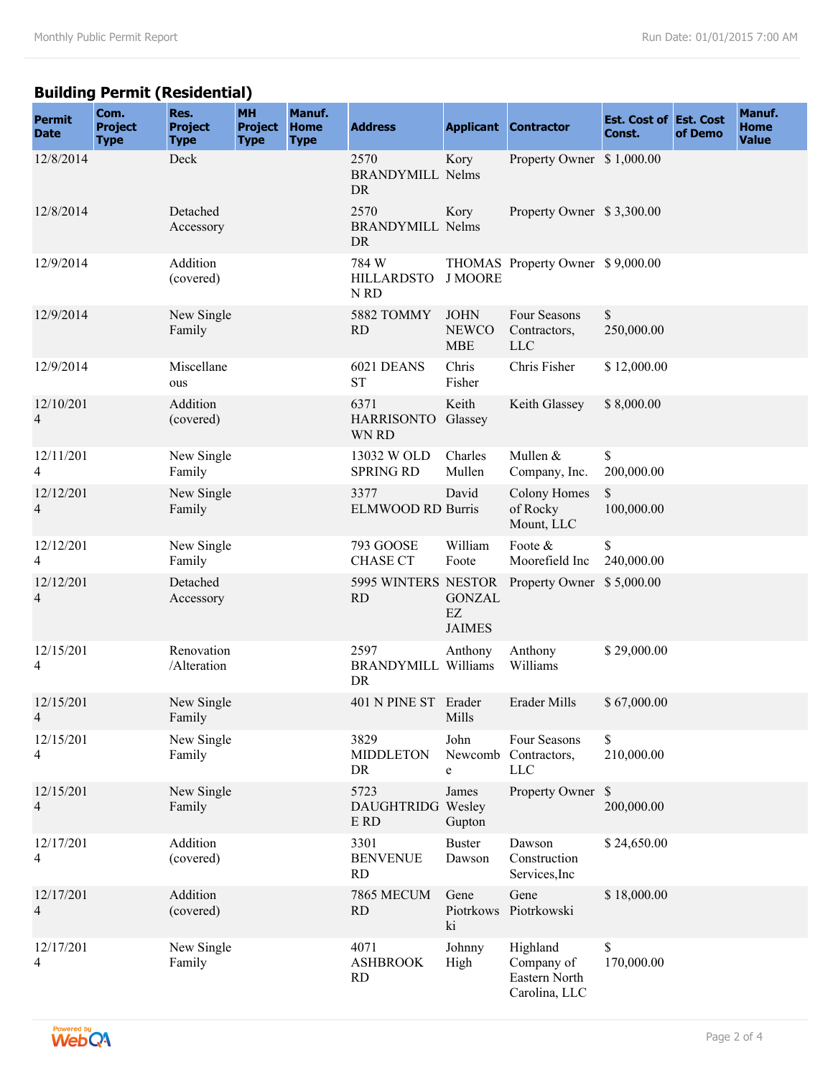## **Building Permit (Residential)**

| <b>Permit</b><br><b>Date</b> | Com.<br><b>Project</b><br><b>Type</b> | Res.<br><b>Project</b><br><b>Type</b> | <b>MH</b><br><b>Project</b><br><b>Type</b> | Manuf.<br><b>Home</b><br><b>Type</b> | <b>Address</b>                               |                                           | <b>Applicant Contractor</b>                              | <b>Est. Cost of Est. Cost</b><br>Const. | of Demo | Manuf.<br><b>Home</b><br><b>Value</b> |
|------------------------------|---------------------------------------|---------------------------------------|--------------------------------------------|--------------------------------------|----------------------------------------------|-------------------------------------------|----------------------------------------------------------|-----------------------------------------|---------|---------------------------------------|
| 12/8/2014                    |                                       | Deck                                  |                                            |                                      | 2570<br><b>BRANDYMILL Nelms</b><br>DR        | Kory                                      | Property Owner \$1,000.00                                |                                         |         |                                       |
| 12/8/2014                    |                                       | Detached<br>Accessory                 |                                            |                                      | 2570<br><b>BRANDYMILL Nelms</b><br><b>DR</b> | Kory                                      | Property Owner \$3,300.00                                |                                         |         |                                       |
| 12/9/2014                    |                                       | Addition<br>(covered)                 |                                            |                                      | 784 W<br><b>HILLARDSTO</b><br>N RD           | <b>J MOORE</b>                            | THOMAS Property Owner \$9,000.00                         |                                         |         |                                       |
| 12/9/2014                    |                                       | New Single<br>Family                  |                                            |                                      | 5882 TOMMY<br><b>RD</b>                      | <b>JOHN</b><br><b>NEWCO</b><br><b>MBE</b> | Four Seasons<br>Contractors,<br><b>LLC</b>               | \$<br>250,000.00                        |         |                                       |
| 12/9/2014                    |                                       | Miscellane<br>ous                     |                                            |                                      | 6021 DEANS<br><b>ST</b>                      | Chris<br>Fisher                           | Chris Fisher                                             | \$12,000.00                             |         |                                       |
| 12/10/201<br>4               |                                       | Addition<br>(covered)                 |                                            |                                      | 6371<br>HARRISONTO Glassey<br>WN RD          | Keith                                     | Keith Glassey                                            | \$8,000.00                              |         |                                       |
| 12/11/201<br>4               |                                       | New Single<br>Family                  |                                            |                                      | 13032 W OLD<br><b>SPRING RD</b>              | Charles<br>Mullen                         | Mullen &<br>Company, Inc.                                | \$<br>200,000.00                        |         |                                       |
| 12/12/201<br>4               |                                       | New Single<br>Family                  |                                            |                                      | 3377<br><b>ELMWOOD RD Burris</b>             | David                                     | <b>Colony Homes</b><br>of Rocky<br>Mount, LLC            | \$<br>100,000.00                        |         |                                       |
| 12/12/201<br>4               |                                       | New Single<br>Family                  |                                            |                                      | 793 GOOSE<br><b>CHASE CT</b>                 | William<br>Foote                          | Foote &<br>Moorefield Inc                                | \$<br>240,000.00                        |         |                                       |
| 12/12/201<br>4               |                                       | Detached<br>Accessory                 |                                            |                                      | <b>RD</b>                                    | <b>GONZAL</b><br>EZ<br><b>JAIMES</b>      | 5995 WINTERS NESTOR Property Owner \$5,000.00            |                                         |         |                                       |
| 12/15/201<br>4               |                                       | Renovation<br>/Alteration             |                                            |                                      | 2597<br><b>BRANDYMILL Williams</b><br>DR     | Anthony                                   | Anthony<br>Williams                                      | \$29,000.00                             |         |                                       |
| 12/15/201<br>$\overline{4}$  |                                       | New Single<br>Family                  |                                            |                                      | 401 N PINE ST Erader                         | Mills                                     | Erader Mills                                             | \$67,000.00                             |         |                                       |
| 12/15/201<br>4               |                                       | New Single<br>Family                  |                                            |                                      | 3829<br><b>MIDDLETON</b><br>DR               | John<br>Newcomb<br>e                      | Four Seasons<br>Contractors,<br><b>LLC</b>               | \$<br>210,000.00                        |         |                                       |
| 12/15/201<br>$\overline{4}$  |                                       | New Single<br>Family                  |                                            |                                      | 5723<br>DAUGHTRIDG Wesley<br>$E$ RD          | James<br>Gupton                           | Property Owner \$                                        | 200,000.00                              |         |                                       |
| 12/17/201<br>4               |                                       | Addition<br>(covered)                 |                                            |                                      | 3301<br><b>BENVENUE</b><br><b>RD</b>         | <b>Buster</b><br>Dawson                   | Dawson<br>Construction<br>Services, Inc                  | \$24,650.00                             |         |                                       |
| 12/17/201<br>$\overline{4}$  |                                       | Addition<br>(covered)                 |                                            |                                      | 7865 MECUM<br>RD                             | Gene<br>Piotrkows<br>ki                   | Gene<br>Piotrkowski                                      | \$18,000.00                             |         |                                       |
| 12/17/201<br>4               |                                       | New Single<br>Family                  |                                            |                                      | 4071<br><b>ASHBROOK</b><br><b>RD</b>         | Johnny<br>High                            | Highland<br>Company of<br>Eastern North<br>Carolina, LLC | \$<br>170,000.00                        |         |                                       |

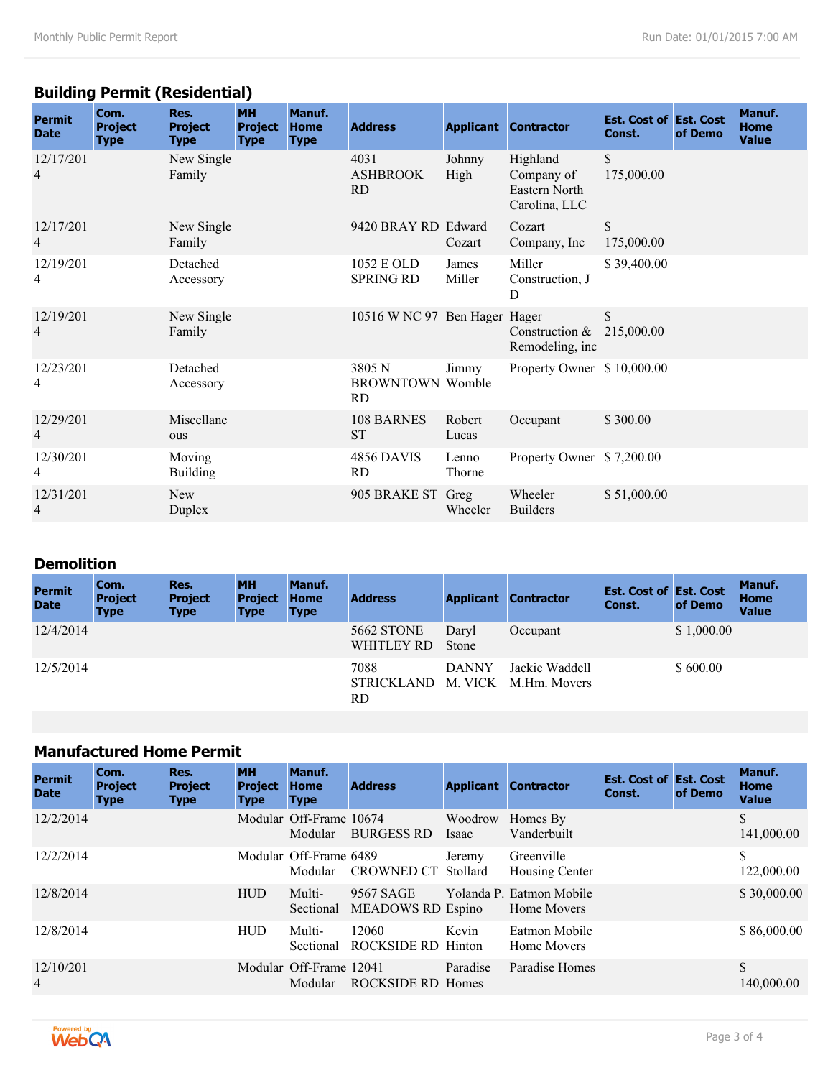## **Building Permit (Residential)**

| <b>Permit</b><br><b>Date</b> | Com.<br><b>Project</b><br><b>Type</b> | Res.<br><b>Project</b><br><b>Type</b> | <b>MH</b><br><b>Project</b><br><b>Type</b> | Manuf.<br><b>Home</b><br><b>Type</b> | <b>Address</b>                                 |                 | <b>Applicant Contractor</b>                              | <b>Est. Cost of Est. Cost</b><br>Const. | of Demo | Manuf.<br><b>Home</b><br><b>Value</b> |
|------------------------------|---------------------------------------|---------------------------------------|--------------------------------------------|--------------------------------------|------------------------------------------------|-----------------|----------------------------------------------------------|-----------------------------------------|---------|---------------------------------------|
| 12/17/201<br>4               |                                       | New Single<br>Family                  |                                            |                                      | 4031<br><b>ASHBROOK</b><br><b>RD</b>           | Johnny<br>High  | Highland<br>Company of<br>Eastern North<br>Carolina, LLC | \$<br>175,000.00                        |         |                                       |
| 12/17/201<br>$\overline{4}$  |                                       | New Single<br>Family                  |                                            |                                      | 9420 BRAY RD Edward                            | Cozart          | Cozart<br>Company, Inc.                                  | \$<br>175,000.00                        |         |                                       |
| 12/19/201<br>4               |                                       | Detached<br>Accessory                 |                                            |                                      | 1052 E OLD<br><b>SPRING RD</b>                 | James<br>Miller | Miller<br>Construction, J<br>D                           | \$39,400.00                             |         |                                       |
| 12/19/201<br>4               |                                       | New Single<br>Family                  |                                            |                                      | 10516 W NC 97 Ben Hager Hager                  |                 | Construction $&$<br>Remodeling, inc.                     | \$<br>215,000.00                        |         |                                       |
| 12/23/201<br>4               |                                       | Detached<br>Accessory                 |                                            |                                      | 3805 N<br><b>BROWNTOWN Womble</b><br><b>RD</b> | Jimmy           | Property Owner \$10,000.00                               |                                         |         |                                       |
| 12/29/201<br>4               |                                       | Miscellane<br>ous                     |                                            |                                      | 108 BARNES<br><b>ST</b>                        | Robert<br>Lucas | Occupant                                                 | \$300.00                                |         |                                       |
| 12/30/201<br>4               |                                       | Moving<br><b>Building</b>             |                                            |                                      | 4856 DAVIS<br><b>RD</b>                        | Lenno<br>Thorne | Property Owner \$7,200.00                                |                                         |         |                                       |
| 12/31/201<br>4               |                                       | New<br>Duplex                         |                                            |                                      | 905 BRAKE ST Greg                              | Wheeler         | Wheeler<br><b>Builders</b>                               | \$51,000.00                             |         |                                       |

## **Demolition**

| <b>Permit</b><br><b>Date</b> | Com.<br><b>Project</b><br><b>Type</b> | Res.<br><b>Project</b><br><b>Type</b> | <b>MH</b><br><b>Project</b><br><b>Type</b> | Manuf.<br><b>Home</b><br><b>Type</b> | <b>Address</b>                  |                         | <b>Applicant Contractor</b>    | <b>Est. Cost of Est. Cost</b><br>Const. | of Demo    | Manuf.<br><b>Home</b><br><b>Value</b> |
|------------------------------|---------------------------------------|---------------------------------------|--------------------------------------------|--------------------------------------|---------------------------------|-------------------------|--------------------------------|-----------------------------------------|------------|---------------------------------------|
| 12/4/2014                    |                                       |                                       |                                            |                                      | <b>5662 STONE</b><br>WHITLEY RD | Daryl<br><b>Stone</b>   | Occupant                       |                                         | \$1,000.00 |                                       |
| 12/5/2014                    |                                       |                                       |                                            |                                      | 7088<br>STRICKLAND<br>RD.       | <b>DANNY</b><br>M. VICK | Jackie Waddell<br>M.Hm. Movers |                                         | \$600.00   |                                       |

### **Manufactured Home Permit**

| <b>Permit</b><br><b>Date</b> | Com.<br><b>Project</b><br><b>Type</b> | Res.<br><b>Project</b><br><b>Type</b> | <b>MH</b><br><b>Project</b><br><b>Type</b> | Manuf.<br><b>Home</b><br><b>Type</b> | <b>Address</b>                        | <b>Applicant</b>        | <b>Contractor</b>                       | <b>Est. Cost of Est. Cost</b><br>Const. | of Demo | <b>Manuf.</b><br><b>Home</b><br><b>Value</b> |
|------------------------------|---------------------------------------|---------------------------------------|--------------------------------------------|--------------------------------------|---------------------------------------|-------------------------|-----------------------------------------|-----------------------------------------|---------|----------------------------------------------|
| 12/2/2014                    |                                       |                                       |                                            | Modular Off-Frame 10674<br>Modular   | <b>BURGESS RD</b>                     | Woodrow<br><i>Isaac</i> | Homes By<br>Vanderbuilt                 |                                         |         | S<br>141,000.00                              |
| 12/2/2014                    |                                       |                                       |                                            | Modular Off-Frame 6489<br>Modular    | <b>CROWNED CT</b>                     | Jeremy<br>Stollard      | Greenville<br>Housing Center            |                                         |         | \$<br>122,000.00                             |
| 12/8/2014                    |                                       |                                       | <b>HUD</b>                                 | Multi-<br>Sectional                  | 9567 SAGE<br><b>MEADOWS RD Espino</b> |                         | Yolanda P. Eatmon Mobile<br>Home Movers |                                         |         | \$30,000.00                                  |
| 12/8/2014                    |                                       |                                       | <b>HUD</b>                                 | Multi-<br>Sectional                  | 12060<br>ROCKSIDE RD Hinton           | Kevin                   | Eatmon Mobile<br>Home Movers            |                                         |         | \$86,000.00                                  |
| 12/10/201<br>$\overline{4}$  |                                       |                                       |                                            | Modular Off-Frame 12041<br>Modular   | <b>ROCKSIDE RD Homes</b>              | Paradise                | Paradise Homes                          |                                         |         | \$<br>140,000.00                             |